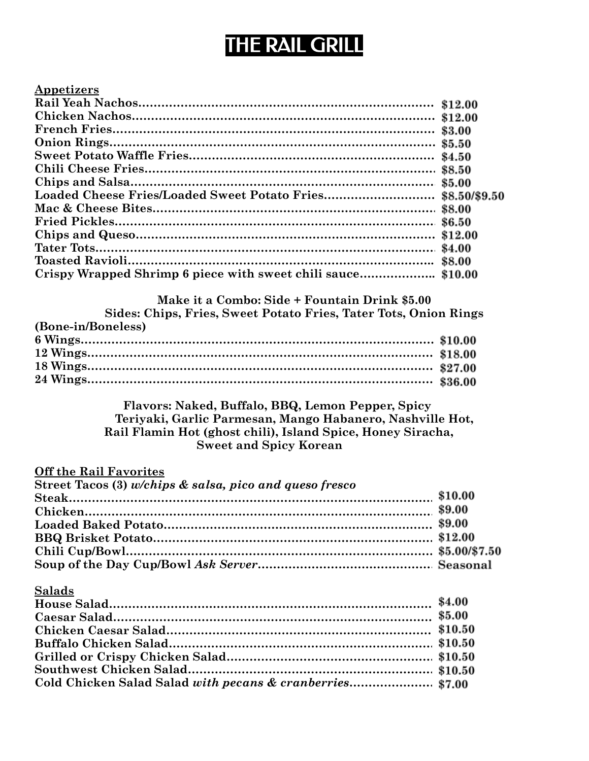## THE RAIL GRILL

| Appetizers |  |
|------------|--|
|            |  |
|            |  |
|            |  |
|            |  |
|            |  |
|            |  |
|            |  |
|            |  |
|            |  |
|            |  |
|            |  |
|            |  |
|            |  |
|            |  |

| Make it a Combo: Side + Fountain Drink \$5.00                    |  |
|------------------------------------------------------------------|--|
| Sides: Chips, Fries, Sweet Potato Fries, Tater Tots, Onion Rings |  |
| (Bone-in/Boneless)                                               |  |
|                                                                  |  |
|                                                                  |  |
|                                                                  |  |
|                                                                  |  |

Flavors: Naked, Buffalo, BBQ, Lemon Pepper, Spicy **Teriyaki, Garlic Parmesan, Mango Habanero, Nashville Hot, Rail Flamin Hot (ghost chili), Island Spice, Honey Siracha, Sweet and Spicy Korean**

### **Off the Rail Favorites Street Tacos (3)** *w/chips & salsa, pico and queso fresco* **Steak………………………………………………………………………………………… Chicken………………………………………………………………………………………. Loaded Baked Potato…………………………………………………………………. BBQ Brisket Potato……………………………………………………………………….. Chili Cup/Bowl……………………………………………………………………………. Soup of the Day Cup/Bowl** *Ask Server……………………………………………….*

#### **Salads**